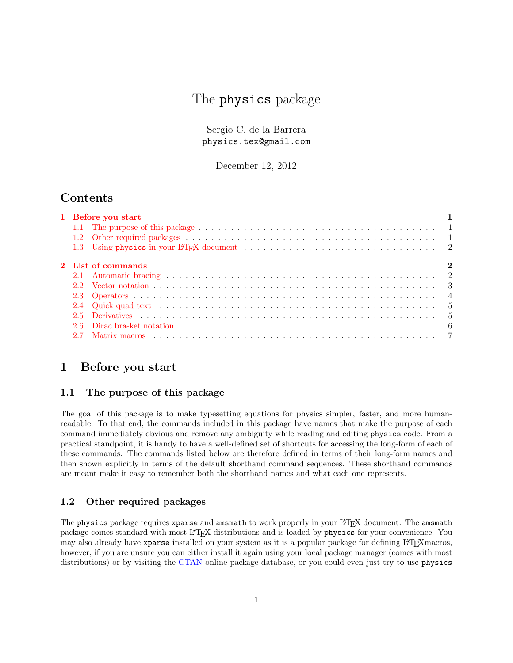# The physics package

Sergio C. de la Barrera physics.tex@gmail.com

December 12, 2012

## Contents

|  | $\bf{2}$                                 |
|--|------------------------------------------|
|  |                                          |
|  |                                          |
|  |                                          |
|  |                                          |
|  |                                          |
|  |                                          |
|  |                                          |
|  | 1 Before you start<br>2 List of commands |

## <span id="page-0-0"></span>1 Before you start

## <span id="page-0-1"></span>1.1 The purpose of this package

The goal of this package is to make typesetting equations for physics simpler, faster, and more humanreadable. To that end, the commands included in this package have names that make the purpose of each command immediately obvious and remove any ambiguity while reading and editing physics code. From a practical standpoint, it is handy to have a well-defined set of shortcuts for accessing the long-form of each of these commands. The commands listed below are therefore defined in terms of their long-form names and then shown explicitly in terms of the default shorthand command sequences. These shorthand commands are meant make it easy to remember both the shorthand names and what each one represents.

## <span id="page-0-2"></span>1.2 Other required packages

The physics package requires xparse and amsmath to work properly in your LAT<sub>E</sub>X document. The amsmath package comes standard with most LATEX distributions and is loaded by physics for your convenience. You may also already have xparse installed on your system as it is a popular package for defining LATEX macros, however, if you are unsure you can either install it again using your local package manager (comes with most distributions) or by visiting the [CTAN](http://www.ctan.org/) online package database, or you could even just try to use physics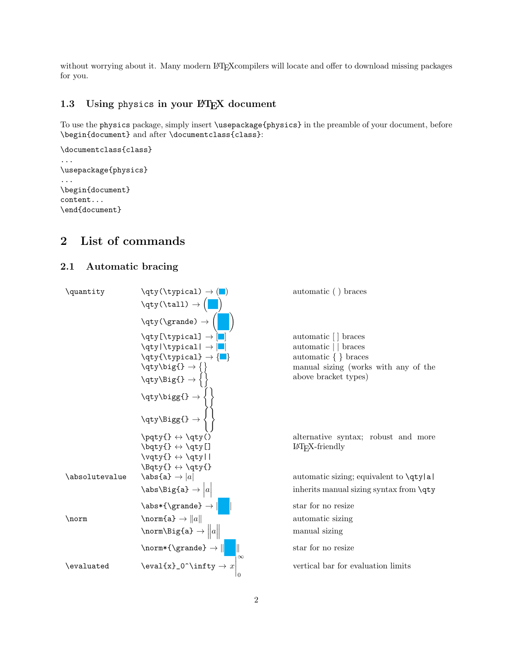without worrying about it. Many modern LATEX compilers will locate and offer to download missing packages for you.

#### <span id="page-1-0"></span>1.3 Using physics in your LAT<sub>E</sub>X document

To use the physics package, simply insert \usepackage{physics} in the preamble of your document, before \begin{document} and after \documentclass{class}:

```
\documentclass{class}
...
\usepackage{physics}
...
\begin{document}
content...
\end{document}
```
# <span id="page-1-1"></span>2 List of commands

## <span id="page-1-2"></span>2.1 Automatic bracing

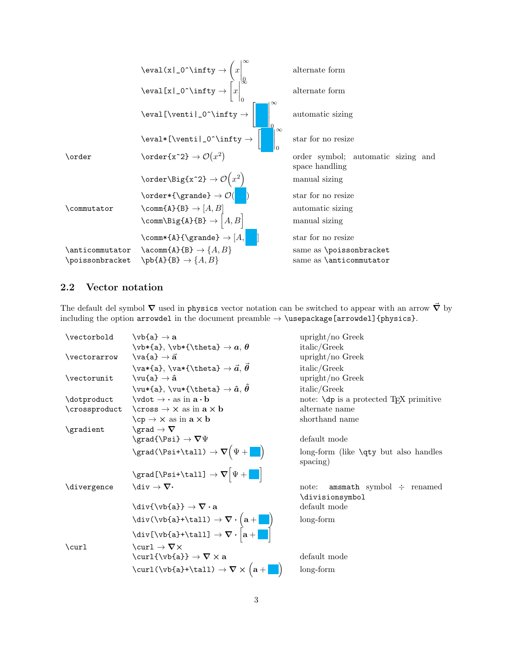\eval(x|\_0^\infty → x ∞ 0 alternate form \eval[x|\_0^\infty → x ∞ 0 alternate form \eval[\venti|\_0^\infty → "  ∞ 0 automatic sizing \eval\*[\venti|\_0^\infty → ∞ 0 star for no resize \order \order{x^2} → O x 2 order symbol; automatic sizing and space handling \order\Big{x^2} → O x 2 manual sizing \order\*{\grande} → O( ) star for no resize \commutator \comm{A}{B} → [A, B] automatic sizing \comm\Big{A}{B} → h A, Bi manual sizing \comm\*{A}{\grande} → [A, ] star for no resize \anticommutator \acomm{A}{B} → {A, B} same as \poissonbracket \poissonbracket \pb{A}{B} → {A, B} same as \anticommutator

# <span id="page-2-0"></span>2.2 Vector notation

The default del symbol  $\nabla$  used in physics vector notation can be switched to appear with an arrow  $\vec{\nabla}$  by including the option arrowdel in the document preamble  $\rightarrow$  \usepackage[arrowdel]{physics}.

| \vectorbold   | $\forall$ b{a} $\rightarrow$ a                                                                                                                                                 | upright/no Greek                                          |
|---------------|--------------------------------------------------------------------------------------------------------------------------------------------------------------------------------|-----------------------------------------------------------|
|               | \vb*{a},\vb*{\theta} $\rightarrow a, \theta$                                                                                                                                   | italic/Greek                                              |
| \vectorarrow  | $\forall$ va{a} $\rightarrow$ $\vec{a}$                                                                                                                                        | $upright/no$ Greek                                        |
|               | \va*{a}, \va*{\theta} $\rightarrow \vec{a}, \vec{\theta}$                                                                                                                      | italic/Greek                                              |
| \vectorunit   | $\forall$ u{a} $\rightarrow$ â                                                                                                                                                 | $upright/no$ Greek                                        |
|               | \vu*{a}, \vu*{\theta} $\rightarrow \hat{a}, \hat{\theta}$                                                                                                                      | italic/Greek                                              |
| \dotproduct   | $\forall$ dot $\rightarrow \cdot$ as in $\mathbf{a} \cdot \mathbf{b}$                                                                                                          | note: $\dagger$ is a protected T <sub>F</sub> X primitive |
| \crossproduct | $\csc \rightarrow x$ as in $a \times b$                                                                                                                                        | alternate name                                            |
|               | $\{cp \rightarrow \times \text{ as in } a \times b\}$                                                                                                                          | shorthand name                                            |
| \gradient     | \grad $\rightarrow \nabla$                                                                                                                                                     |                                                           |
|               | $\sqrt{\Psi} \rightarrow \nabla \Psi$                                                                                                                                          | default mode                                              |
|               | $\sqrt{\text{grad}(\Psi + \mathbf{L})} \rightarrow \nabla(\Psi + \mathbf{L})$                                                                                                  | $long-form$ (like $\qquad$ y but also handles<br>spacing) |
|               | \grad[\Psi+\tall] $\rightarrow \nabla \Psi +$                                                                                                                                  |                                                           |
| \divergence   | $\backslash \text{div} \to \mathbf{\nabla \cdot}$                                                                                                                              | amsmath symbol $\div$ renamed<br>note:<br>\divisionsymbol |
|               | $\div\{\v{v}{a}\}\rightarrow \nabla \cdot a$                                                                                                                                   | default mode                                              |
|               | $\langle \text{div}(\forall b\{a\}+\text{ball}) \rightarrow \nabla \cdot (a + \cdot)$<br>$\langle \text{div}[\forall b\{a\}+\text{ball}] \rightarrow \nabla \cdot [a + \cdot]$ | long-form                                                 |
|               |                                                                                                                                                                                |                                                           |
| \curl         | \curl $\rightarrow \nabla \times$                                                                                                                                              |                                                           |
|               | $\verb+\curl{\\vb{a}}+\nabla\times\mathbf{a}$                                                                                                                                  | default mode                                              |
|               | $\text{curl}(\b{a}+\tanh) \rightarrow \nabla \times (a + \blacksquare)$                                                                                                        | long-form                                                 |
|               |                                                                                                                                                                                |                                                           |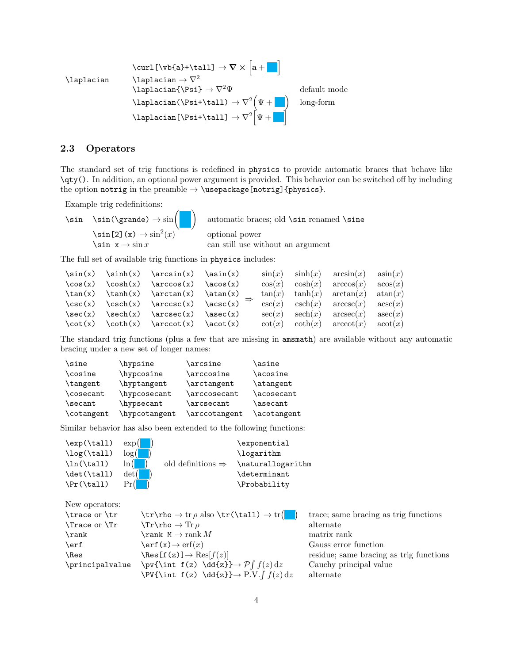$$
\text{Laplacian} \quad \text{Lvbf[a]+\tau11]} \rightarrow \nabla \times \left[ \mathbf{a} + \mathbf{b} \right]
$$
\n
$$
\text{Laplacian} \rightarrow \nabla^2
$$
\n
$$
\text{Laplacian} \rightarrow \nabla^2 \Psi
$$
\n
$$
\text{Laplacian} \rightarrow \nabla^2 \Psi
$$
\n
$$
\text{Laplacian} \rightarrow \nabla^2 \Psi + \mathbf{b} \longrightarrow \text{Long-form}
$$
\n
$$
\text{Laplacian} \rightarrow \nabla^2 \Psi + \mathbf{b} \longrightarrow \text{Long-form}
$$

#### <span id="page-3-0"></span>2.3 Operators

The standard set of trig functions is redefined in physics to provide automatic braces that behave like \qty(). In addition, an optional power argument is provided. This behavior can be switched off by including the option notrig in the preamble  $\rightarrow \text{vase}$  [notrig]{physics}.

Example trig redefinitions:

```
\sin \ \left( \right) \rightarrow \sin \left(\sin[2](x) \rightarrow \sin^2(x)
```
automatic braces; old \sin renamed \sine optional power  $\sin x \rightarrow \sin x$  can still use without an argument

The full set of available trig functions in physics includes:

```
\sin(x) \arcsin(x) \asin(x)\cos(x) \cos(x) \arccos(x) \arccos(x)\tan(x) \ \tanh(x) \ \arctan(x) \ \atan(x)\csc(x) \csc(x) \arccsc(x) \acsc(x)\text{sec}(x) \text{sech}(x) \text{arece}(x) \text{asec}(x)\cot(x) \ \cot(x) \ \arccot(x) \ \acot(x)⇒
                                                  \sin(x) \sinh(x) \arcsin(x) \sin(x)cos(x) cosh(x) arccos(x) acos(x)tan(x) tanh(x) arctan(x) atan(x)\csc(x) \operatorname{csch}(x) \operatorname{arccsc}(x) \operatorname{asc}(x)sec(x) sech(x) arcsec(x) asec(x)\cot(x) \coth(x) \arccot(x) \arctan(x)
```
The standard trig functions (plus a few that are missing in amsmath) are available without any automatic bracing under a new set of longer names:

| \sine      | \hypsine                   | \arcsine      | \asine      |
|------------|----------------------------|---------------|-------------|
| \cosine    | \hypcosine                 | \arccosine    | \acosine    |
| \tangent   | \hyptangent                | \arctangent   | \atangent   |
| \cosecant  | <i><b>\hypcosecant</b></i> | \arccosecant  | \acosecant  |
| \secant    | \hypsecant                 | \arcsecant    | \asecant    |
| \cotangent | \hypcotangent              | \arccotangent | \acotangent |

Similar behavior has also been extended to the following functions:

| $\exp($ |                               | \exponential      |
|---------|-------------------------------|-------------------|
| log(    |                               | \logarithm        |
| ln (    | old definitions $\Rightarrow$ | \naturallogarithm |
| det(    |                               | \determinant      |
| Pr(     |                               | \Probability      |
|         |                               |                   |

```
New operators:
\trace or \tr \trthinspace \qquad \trmight \tr\rho \to tr \rho also \tr(\tall) \to tr
                                                               trace; same bracing as trig functions
\Trace or \Tr \trm{\text{Tr}} \to \text{Tr} \rho alternate
\label{eq:rank} $$\rank \mathbb{M} \Rightarrow M \to \mathbb{M}\text{Perf} \left( x \right) \rightarrow \text{erf}(x) Gauss error function
\text{Res} f(z) \rightarrow \text{Res}[f(z)] residue; same bracing as trig functions
\principalvalue \pv{\int f(z) \dd{z}} \rightarrow P\int f(z) dzCauchy principal value
                    \PU{\int f(z) \ddot{\z} \} \rightarrow P.V.alternate
```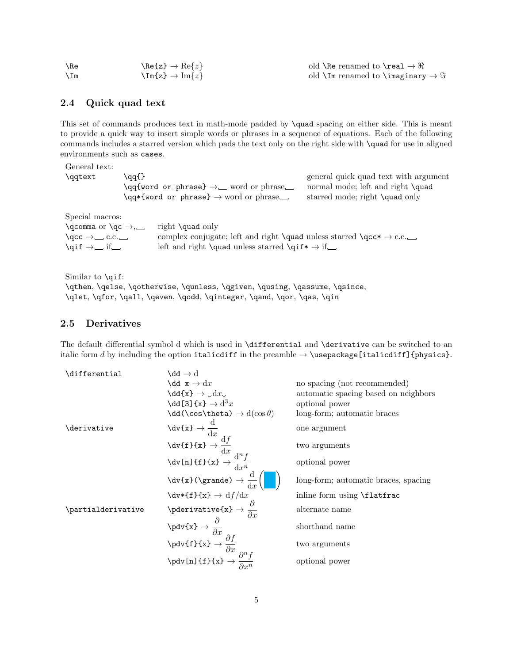| $\Re$ | $\text{Re}\{z\} \rightarrow \text{Re}\{z\}$                                                                                                                                                                                                                                                             | old \Re renamed to \real $\rightarrow \Re$ |
|-------|---------------------------------------------------------------------------------------------------------------------------------------------------------------------------------------------------------------------------------------------------------------------------------------------------------|--------------------------------------------|
| $\Im$ | $\Imes$ $\Imes$ $\Imes$ $\Imes$ $\Imes$ $\Imes$ $\Imes$ $\Imes$ $\Imes$ $\Imes$ $\Imes$ $\Imes$ $\Imes$ $\Imes$ $\Imes$ $\Imes$ $\Imes$ $\Imes$ $\Imes$ $\Imes$ $\Imes$ $\Imes$ $\Imes$ $\Imes$ $\Imes$ $\Imes$ $\Imes$ $\Imes$ $\Imes$ $\Imes$ $\Imes$ $\Imes$ $\Imes$ $\Imes$ $\Imes$ $\Imes$ $\Imes$ | old $\Im$ renamed to $\Im$ and $\Im$       |

#### <span id="page-4-0"></span>2.4 Quick quad text

This set of commands produces text in math-mode padded by \quad spacing on either side. This is meant to provide a quick way to insert simple words or phrases in a sequence of equations. Each of the following commands includes a starred version which pads the text only on the right side with \quad for use in aligned environments such as cases.

| General text:<br>\qqtext                                                                                                                                                                                                                                                                                                                     | \qq{} | \qq{word or phrase} $\rightarrow \_$ word or phrase__<br>$\qquad$ $\qquad$ $\qquad$ $\qquad$ $\qquad$ $\qquad$ $\qquad$ $\qquad$ $\qquad$ $\qquad$ $\qquad$ $\qquad$ $\qquad$ $\qquad$ $\qquad$ $\qquad$ $\qquad$ $\qquad$ $\qquad$ $\qquad$ $\qquad$ $\qquad$ $\qquad$ $\qquad$ $\qquad$ $\qquad$ $\qquad$ $\qquad$ $\qquad$ $\qquad$ $\qquad$ $\qquad$ $\qquad$ $\qquad$ $\qquad$ $\qquad$ $\qquad$ | general quick quad text with argument<br>normal mode; left and right \quad<br>starred mode; right \quad only |  |
|----------------------------------------------------------------------------------------------------------------------------------------------------------------------------------------------------------------------------------------------------------------------------------------------------------------------------------------------|-------|-------------------------------------------------------------------------------------------------------------------------------------------------------------------------------------------------------------------------------------------------------------------------------------------------------------------------------------------------------------------------------------------------------|--------------------------------------------------------------------------------------------------------------|--|
| Special macros:                                                                                                                                                                                                                                                                                                                              |       |                                                                                                                                                                                                                                                                                                                                                                                                       |                                                                                                              |  |
| $\qquad$ $\qquad$ $\qquad$ $\qquad$ $\qquad$ $\qquad$ $\qquad$ $\qquad$ $\qquad$ $\qquad$ $\qquad$ $\qquad$ $\qquad$ $\qquad$ $\qquad$ $\qquad$ $\qquad$ $\qquad$ $\qquad$ $\qquad$ $\qquad$ $\qquad$ $\qquad$ $\qquad$ $\qquad$ $\qquad$ $\qquad$ $\qquad$ $\qquad$ $\qquad$ $\qquad$ $\qquad$ $\qquad$ $\qquad$ $\qquad$ $\qquad$ $\qquad$ |       | right \quad only                                                                                                                                                                                                                                                                                                                                                                                      |                                                                                                              |  |
| $\qquad \qquad \qquad \text{c.c.}$                                                                                                                                                                                                                                                                                                           |       | complex conjugate; left and right <b>\quad</b> unless starred <b>\qcc</b> * $\rightarrow$ c.c.                                                                                                                                                                                                                                                                                                        |                                                                                                              |  |
| \qif $\rightarrow$ __ if __                                                                                                                                                                                                                                                                                                                  |       | left and right <b>\quad</b> unless starred <b>\qif</b> * $\rightarrow$ if __                                                                                                                                                                                                                                                                                                                          |                                                                                                              |  |

Similar to \qif: \qthen, \qelse, \qotherwise, \qunless, \qgiven, \qusing, \qassume, \qsince, \qlet, \qfor, \qall, \qeven, \qodd, \qinteger, \qand, \qor, \qas, \qin

## <span id="page-4-1"></span>2.5 Derivatives

The default differential symbol d which is used in \differential and \derivative can be switched to an italic form d by including the option italicdiff in the preamble  $\rightarrow$  \usepackage[italicdiff]{physics}.

| \differential      | \dd $\rightarrow$ d                                                                                                                                                                                                                                                                                                                                 |                                      |
|--------------------|-----------------------------------------------------------------------------------------------------------------------------------------------------------------------------------------------------------------------------------------------------------------------------------------------------------------------------------------------------|--------------------------------------|
|                    | $\text{dd } x \to dx$                                                                                                                                                                                                                                                                                                                               | no spacing (not recommended)         |
|                    | $\text{dd}\{x\} \rightarrow \text{d}x.$                                                                                                                                                                                                                                                                                                             | automatic spacing based on neighbors |
|                    | $\text{dd}[3]\{x\} \rightarrow d^3x$                                                                                                                                                                                                                                                                                                                | optional power                       |
|                    | $\text{dd}(\cos\theta) \rightarrow d(\cos\theta)$                                                                                                                                                                                                                                                                                                   | long-form; automatic braces          |
| <i>derivative</i>  | $\begin{align*} \n\langle dv\{x\} \rightarrow \frac{d}{dx} \\ \n\langle dv\{f\}\{x\} \rightarrow \frac{df}{dx} \\ \n\langle dv\{n\} \{f\}\{x\} \rightarrow \frac{d^n f}{dx^n} \n\end{align*}$                                                                                                                                                       | one argument                         |
|                    |                                                                                                                                                                                                                                                                                                                                                     | two arguments                        |
|                    |                                                                                                                                                                                                                                                                                                                                                     | optional power                       |
|                    | $\forall \forall x \in \mathbb{Z} \setminus \mathbb{Z}$ (\grande) $\rightarrow \frac{d}{dx}$                                                                                                                                                                                                                                                        | long-form; automatic braces, spacing |
|                    |                                                                                                                                                                                                                                                                                                                                                     | inline form using \flatfrac          |
| \partialderivative | $\forall x \forall f f f x \rightarrow df/dx$<br>$\forall p \forall g f x \rightarrow \frac{\partial}{\partial x}$<br>$\forall p \forall g f f f x \rightarrow \frac{\partial}{\partial x}$<br>$\forall p \forall g f f f f x \rightarrow \frac{\partial}{\partial x}$<br>$\forall p \forall g f f f f f x \rightarrow \frac{\partial}{\partial x}$ | alternate name                       |
|                    |                                                                                                                                                                                                                                                                                                                                                     | shorthand name                       |
|                    |                                                                                                                                                                                                                                                                                                                                                     | two arguments                        |
|                    |                                                                                                                                                                                                                                                                                                                                                     | optional power                       |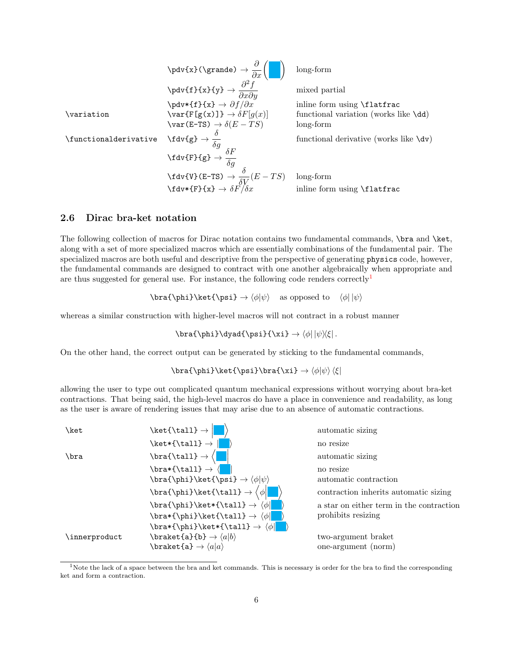\pdv{x}(\grande) → ∂ ∂x long-form \pdv{f}{x}{y} → ∂ 2f ∂x∂y mixed partial \pdv\*{f}{x} → ∂f/∂x inline form using \flatfrac \variation \var{F[g(x)]} → δF[g(x)] functional variation (works like \dd) \var(E-TS) → δ(E − T S) long-form \functionalderivative \fdv{g} → δ δg functional derivative (works like \dv) \fdv{F}{g} → δF δg \fdv{V}(E-TS) → δ δV (<sup>E</sup> <sup>−</sup> T S) long-form \fdv\*{F}{x} → δF/δx inline form using \flatfrac

#### <span id="page-5-0"></span>2.6 Dirac bra-ket notation

The following collection of macros for Dirac notation contains two fundamental commands, \bra and \ket, along with a set of more specialized macros which are essentially combinations of the fundamental pair. The specialized macros are both useful and descriptive from the perspective of generating physics code, however, the fundamental commands are designed to contract with one another algebraically when appropriate and are thus suggested for general use. For instance, the following code renders correctly<sup>[1](#page-5-1)</sup>

 $\bar{\phi}\ket{\psi} \rightarrow \alpha$  as opposed to  $\langle \phi | \psi \rangle$ 

whereas a similar construction with higher-level macros will not contract in a robust manner

\bra{\phi}\dyad{\psi}{\xi}  $\rightarrow$   $\phi$ |  $|\psi\rangle\langle$  .

On the other hand, the correct output can be generated by sticking to the fundamental commands,

\bra{\phi}\ket{\psi}\bra{\xi}  $\rightarrow$   $\langle \phi | \psi \rangle$ 

allowing the user to type out complicated quantum mechanical expressions without worrying about bra-ket contractions. That being said, the high-level macros do have a place in convenience and readability, as long as the user is aware of rendering issues that may arise due to an absence of automatic contractions.



<span id="page-5-1"></span><sup>&</sup>lt;sup>1</sup>Note the lack of a space between the bra and ket commands. This is necessary is order for the bra to find the corresponding ket and form a contraction.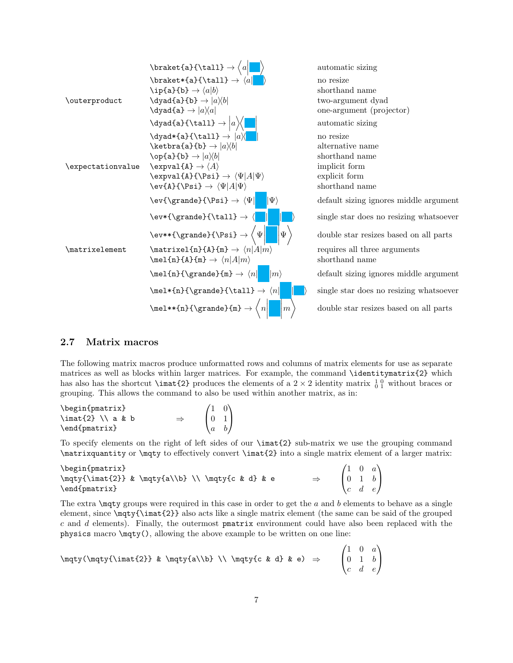

#### <span id="page-6-0"></span>2.7 Matrix macros

The following matrix macros produce unformatted rows and columns of matrix elements for use as separate matrices as well as blocks within larger matrices. For example, the command \identitymatrix{2} which has also has the shortcut  $\in$  12 produces the elements of a 2 × 2 identity matrix  $\frac{1}{0}$  0 without braces or grouping. This allows the command to also be used within another matrix, as in:

| \begin{pmatrix}                          |                                       |
|------------------------------------------|---------------------------------------|
| $\{2\} \ \\ a \ \& \ b$<br>$\Rightarrow$ | $\begin{bmatrix} 0 & 1 \end{bmatrix}$ |
| \end{pmatrix}                            |                                       |

To specify elements on the right of left sides of our  $\langle \mathbf{m} \cdot \mathbf{r} \rangle$  sub-matrix we use the grouping command \matrixquantity or \mqty to effectively convert \imat{2} into a single matrix element of a larger matrix:

| \begin{pmatrix}                                   |                                                        |  |
|---------------------------------------------------|--------------------------------------------------------|--|
| \mqty{\imat{2}} & \mqty{a\\b} \\ \mqty{c & d} & e | $\begin{pmatrix} 1 & 0 & a \\ 0 & 1 & b \end{pmatrix}$ |  |
| $\end{frac}$                                      | $\begin{pmatrix} c & d & e \end{pmatrix}$              |  |

The extra  $\text{matrix}$  groups were required in this case in order to get the a and b elements to behave as a single element, since \mqty{\imat{2}} also acts like a single matrix element (the same can be said of the grouped  $c$  and  $d$  elements). Finally, the outermost pmatrix environment could have also been replaced with the physics macro \mqty(), allowing the above example to be written on one line:

$$
\label{lem:opt} $$\mqty(\mqty{\limat{2}} & \mqty{a\\b} \\\ \nqty{c & d} & e) \Rightarrow \begin{pmatrix} \frac{2}{b} & \mqty{a}\\b & \mqty{c} & d \} & e \end{pmatrix} \quad \begin{pmatrix} \frac{1}{b} & \frac{1}{b} & \frac{1}{b} & \frac{1}{b} & \frac{1}{b} & \frac{1}{b} & \frac{1}{b} & \frac{1}{b} & \frac{1}{b} & \frac{1}{b} & \frac{1}{b} & \frac{1}{b} & \frac{1}{b} & \frac{1}{b} & \frac{1}{b} & \frac{1}{b} & \frac{1}{b} & \frac{1}{b} & \frac{1}{b} & \frac{1}{b} & \frac{1}{b} & \frac{1}{b} & \frac{1}{b} & \frac{1}{b} & \frac{1}{b} & \frac{1}{b} & \frac{1}{b} & \frac{1}{b} & \frac{1}{b} & \frac{1}{b} & \frac{1}{b} & \frac{1}{b} & \frac{1}{b} & \frac{1}{b} & \frac{1}{b} & \frac{1}{b} & \frac{1}{b} & \frac{1}{b} & \frac{1}{b} & \frac{1}{b} & \frac{1}{b} & \frac{1}{b} & \frac{1}{b} & \frac{1}{b} & \frac{1}{b} & \frac{1}{b} & \frac{1}{b} & \frac{1}{b} & \frac{1}{b} & \frac{1}{b} & \frac{1}{b} & \frac{1}{b} & \frac{1}{b} & \frac{1}{b} & \frac{1}{b} & \frac{1}{b} & \frac{1}{b} & \frac{1}{b} & \frac{1}{b} & \frac{1}{b} & \frac{1}{b} & \frac{1}{b} & \frac{1}{b} & \frac{1}{b} & \frac{1}{b} & \frac{1}{b} & \frac{1}{b} & \frac{1}{b} & \frac{1}{b} & \frac{1}{b} & \frac{1}{b} & \frac{1}{b} & \frac{1}{b} & \frac{1}{b} & \frac{1}{b} & \frac{1}{b} & \frac{1}{b} & \frac{1}{b} & \frac{1}{b} & \frac{1}{b} & \frac{1}{b} & \frac{1}{b} & \frac{1}{b
$$